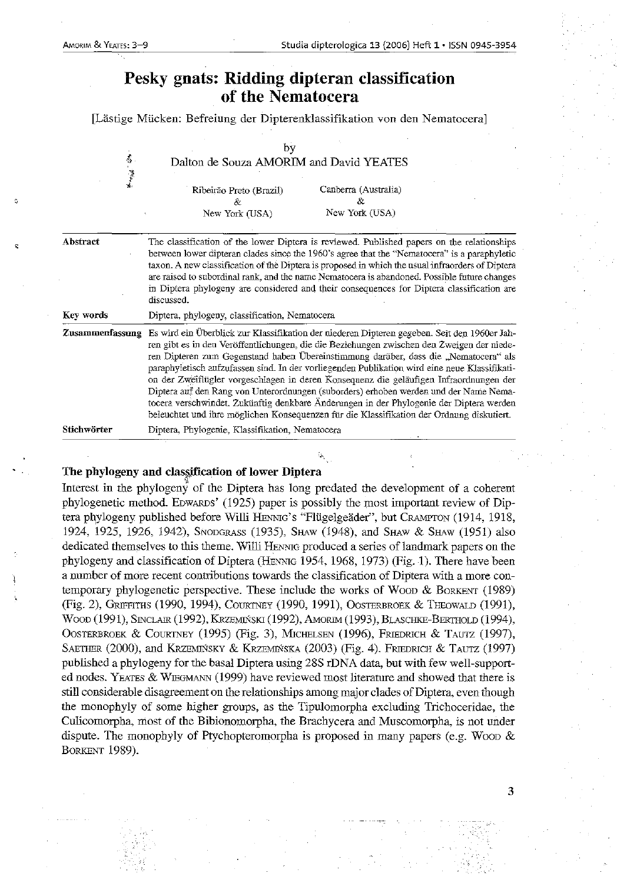# Pesky gnats: Ridding dipteran classification of the Nematocera

[Lastige Miicken: Befreiung der Dipterenklassifikation von den Nematocera]

| <b>看一阵空光</b>    | by<br>Dalton de Souza AMORIM and David YEATES                                                                                                                                                                                                                                                                                                                                                                                                                                                                                                                                                                                                                                                                                                                  |                                               |
|-----------------|----------------------------------------------------------------------------------------------------------------------------------------------------------------------------------------------------------------------------------------------------------------------------------------------------------------------------------------------------------------------------------------------------------------------------------------------------------------------------------------------------------------------------------------------------------------------------------------------------------------------------------------------------------------------------------------------------------------------------------------------------------------|-----------------------------------------------|
|                 | Ribeirão Preto (Brazil)<br>&.<br>New York (USA)                                                                                                                                                                                                                                                                                                                                                                                                                                                                                                                                                                                                                                                                                                                | Canberra (Australia)<br>Řz.<br>New York (USA) |
| Abstract        | The classification of the lower Diptera is reviewed. Published papers on the relationships<br>between lower dipteran clades since the 1960's agree that the "Nematocera" is a paraphyletic<br>taxon. A new classification of the Diptera is proposed in which the usual infraorders of Diptera<br>are raised to subordinal rank, and the name Nematocera is abandoned. Possible future changes<br>in Diptera phylogeny are considered and their consequences for Diptera classification are<br>discussed.                                                                                                                                                                                                                                                      |                                               |
| Key words       | Diptera, phylogeny, classification, Nematocera                                                                                                                                                                                                                                                                                                                                                                                                                                                                                                                                                                                                                                                                                                                 |                                               |
| Zusammenfassung | Es wird ein Überblick zur Klassifikation der niederen Dipteren gegeben. Seit den 1960er Jah-<br>ren gibt es in den Veröffentlichungen, die die Beziehungen zwischen den Zweigen der niede-<br>ren Dipteren zum Gegenstand haben Übereinstimmung darüber, dass die "Nematocera" als<br>paraphyletisch aufzufassen sind. In der vorliegenden Publikation wird eine neue Klassifikati-<br>on der Zweiflügler vorgeschlagen in deren Konsequenz die geläufigen Infraordnungen der<br>Diptera auf den Rang von Unterordnungen (suborders) erhoben werden und der Name Nema-<br>tocera verschwindet. Zukünftig denkbare Änderungen in der Phylogenie der Diptera werden<br>beleuchtet und ihre möglichen Konsequenzen für die Klassifikation der Ordnung diskutiert. |                                               |
| Stichwörter     | Diptera, Phylogenie, Klassifikation, Nematocera                                                                                                                                                                                                                                                                                                                                                                                                                                                                                                                                                                                                                                                                                                                |                                               |

## The phylogeny and classification of lower Diptera

Interest in the phylogeny of the Diptera has long predated the development of a coherent phylogenetic method. EDWARDS' (1925) paper is possibly the most important review of Diptera phylogeny published before Willi HENNIG's "Flügelgeäder", but CRAMPTON (1914, 1918, 1924, 1925, 1926, 1942), SNODGRASS (1935), SHAW (1948), and SHAW & SHAW (1951) also dedicated themselves to this theme. Willi HENNIG produced a series of landmark papers on the phylogeny and classification of Diptera (HENNIG 1954, 1968, 1973) (Fig. 1). There have been a number of more recent contributions towards the classification of Diptera with a more contemporary phylogenetic perspective. These include the works of Wood & BORKENT (1989) (Fig. 2), GRIFFITHS (1990, 1994), COURTNEY (1990, 1991), OOSTERBROEK & THEOWAW (1991), WOOD (1991), SINCLAIR (1992), KRZEMIŃSKI (1992), AMORIM (1993), BLASCHKE-BERTHOLD (1994), OOSTERBROEK & COURTNEY (1995) (Fig. 3), MICHELSEN (1996), FRIEDRlcH & TAUTZ (1997), SAETHER (2000), and KRZEMINSKY & KRZEMINSKA (2003) (Fig. 4). FRIEDRICH & TAUTZ (1997) published a phylogeny for the basal Diptera using 28S rDNA data, but with few well-supported nodes. YEATES & WIEGMANN (1999) have reviewed most literature and showed that there is still considerable disagreement on the relationships among major clades of Diptera, even though the monophyly of some higher groups, as the Tipulomorpha excluding Trichoceridae, the Culicomorpha, most of the Bibionomorpha, the Brachycera and Muscomorpha, is not under dispute. The monophyly of Ptychopteromorpha is proposed in many papers (e.g. Woop  $\&$ BORKENT 1989).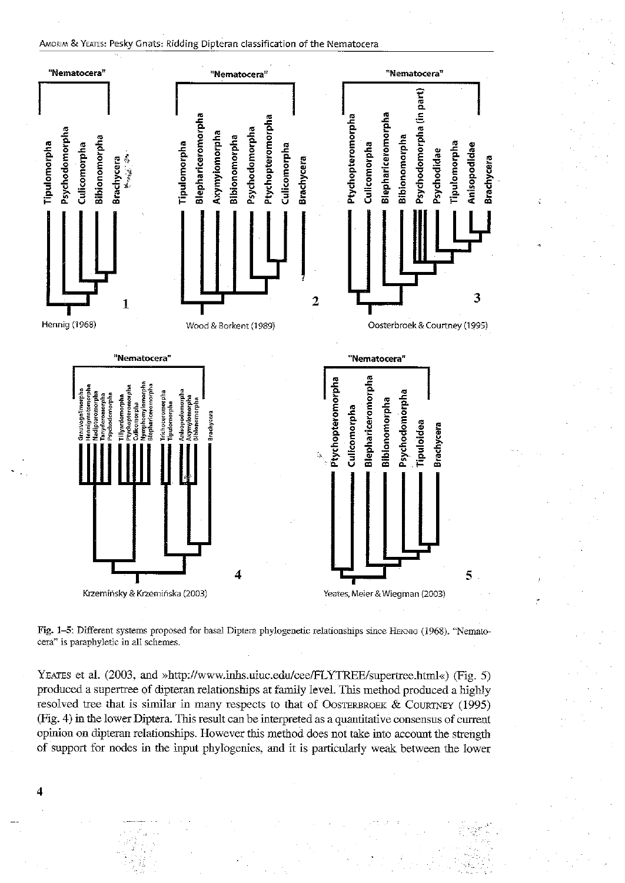#### AMORIM & YEATES: Pesky Gnats: Ridding Dipteran classification of the Nematocera



Fig. 1-5: Different systems proposed for basal Diptera phylogenetic relationships since HENNIG (1968). "Nematocera" is paraphyletic in all schemes.

YEATES et al. (2003, and »http://www.inhs.uiuc.edu/cee/FLYTREE/supertree.html«) (Fig. 5) produced a supertree of dipteran relationships at family level. This method produced a highly resolved tree that is similar iu many respects to that of OOSTERBROEK & COURTNEY (1995) (Fig. 4) in the lower Diptera. This result can be interpreted as a quantitative consensus of current opinion on dipteran relationships. However this method does not take into account the strength of support for nodes in the input phylogenies, and it is particularly weak between the lower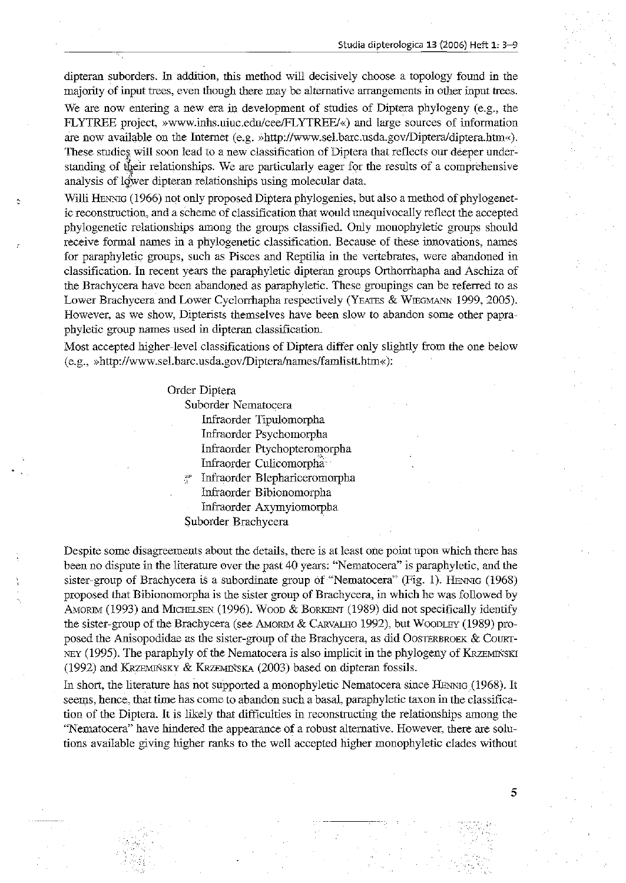**Studia dipterologica 13 (2:006) Heft 1: 3-9**

5

dipteran suborders. In addition, this method will decisively choose a topology found in the **majority of input trees, even though there may be alternative arrangements in other input trees.**

We are now entering a new era in development of studies of Diptera phylogeny (e.g., the FLYTREE project, »www.inhs.uiuc.edu/cee/FLYTREE/«) and large sources of information are now available on the Internet (e.g. »http://www.sel.barc.usda.gov/Diptera/diptera.htm«).  $\frac{1}{2}$  **These** studies will soon lead to a new classification of Diptera that reflects our deeper under**standing of** ~eir **relationships. We are particularly eager for the results of** a comprehensive analysis of lower dipteran relationships using molecular data.

Willi HENNIG (1966) not only proposed Diptera phylogenies, but also a method of phylogenet**ic reconstruction, and a scheme of classification that would unequivocally reflect the accepted** phylogenetic relationships among the groups classified. Only monophyletic groups should **receive formal names in a phylogenetic classification. Because of these innovations, names** for paraphyletic groups, such as Pisces and Reptilia in the vertebrates, were abandoned in classification. **In** recent years the paraphyletic dipteran groups Orthorrhapha and Aschiza of the Brachycera have been abandoned as paraphyletic. These groupings can be referred to as Lower Brachycera and Lower Cyclorrhapha respectively (YEATES & WIEGMANN 1999, 2005). **However, as we show, Dipterists themselves have been slow to abandon some other papra**phyletic group names used in dipteran classificatiou.

Most accepted higher-level classifications of Diptera differ only slightly from the one below (e.g., >>http://www.sel.barc.usda.gov/Diptera/names/farnIistt.htm<<):

Order Diptera

Suborder Nematocera

Infraorder Tipulomorpha Infraorder Psychomorpha Infraorder Ptychopteromorpha Infraorder Culicomorpha ". Infraorder Blephariceromorpha

Infraorder Bibionomorpha

Infraorder Axymyiomorpha

Suborder Brachycera

**Despite some disagreements about the details, there is at least one point upon which there has** been no dispute in the literature over the past 40 years: "Nematocera" is paraphyletic, and the sister-group of Brachycera is a subordinate group of "Nematocera" (Fig. 1). HENNIG (1968) proposed that Bibionomorpha is the sister group of Brachycera, in which he was followed by AMORIM (1993) and MICHELSEN (1996). WOOD & BORKENT (1989) did not specifically identify the sister-group of the Brachycera (see AMORIM & CARVALHO 1992), but WOODLEY (1989) proposed the Anisopodidae as the sister-group of the Brachycera, as did OOSTERBROEK & COURT-NEY (1995). The paraphyly of the Nernatocera is also implicit in the phylogeny of KRzEMINSKI (1992) and KRzEMINSKY & KRzEMINsKA (2003) based on dipteran fossils.

In short, the literature has not supported a monophyletic Nematocera since HENNIG (1968). It seems, hence, that time has come to abandon such a basal, paraphyletic taxon in the classification of the Diptera. It is likely that difficulties in reconstructing the relationships among the **"Nematocera" have hindered the appearance of a robust alternative. However, there are solu**tions available giving higher ranks to the well accepted higher monophyletic clades without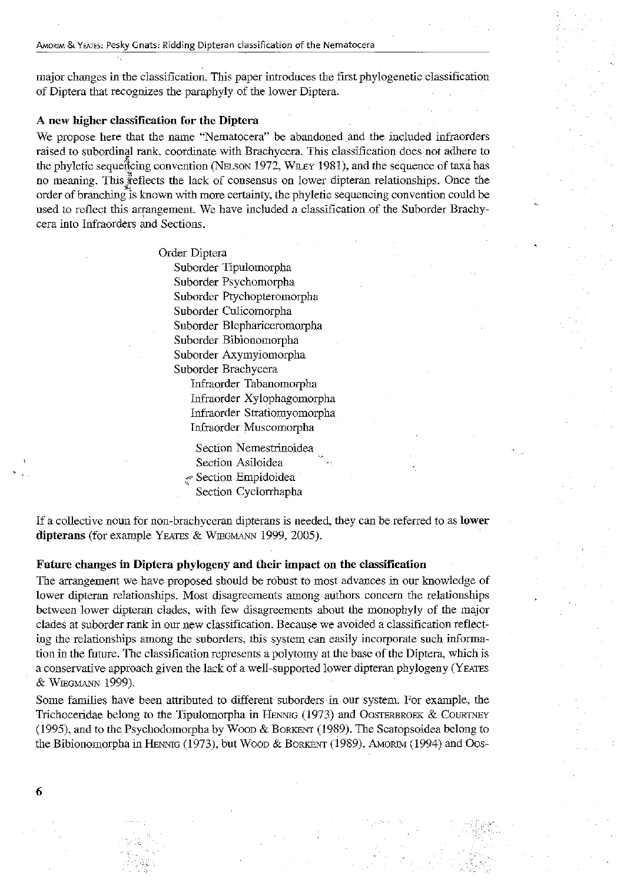major changes in the classification. This paper introdnces the first phylogenetic classification of Diptera that recognizes the paraphyly of the lower Diptera.

## A new higher classification for the Diptera

We propose here that the name "Nematocera" be abandoned and the included infraorders raised to subordinal rank, coordinate with Brachycera. This classification does not adhere to the phyletic sequencing convention (NELSON 1972, WILEY 1981), and the sequence of taxa has no meaning. This  $\mathbb{F}$  efflects the lack of consensus on lower dipteran relationships. Once the order of branching is known with more certainty, the phyletic sequencing convention could be used to reflect this arrangement. We have included a classification of the Suborder Brachycera into Infraorders and Sections.

> Order Diptera Suborder Tipulomorpha Suborder Psychomorpha Suborder Ptychopteromorpha Suborder Culicomorpha Suborder Blephariceromorpha Suborder Bibiouomorpha Suborder Axymyiomorpha Suborder Brachycera

> > Infraorder Tabanomorpha Infraorder Xylophagomorpha Infraorder Stratiomyomorpha Infraorder Muscomorpha

Section Nemestrinoidea Section Asiloidea ,c;" Section Empidoidea

Section Cyclorrhapha

If a collective noun for non-brachyceran dipterans is needed, they can be referred to as **lower** dipterans (for example YEATES & WIEGMANN 1999, 2005).

## Future changes in Diptera phylogeny and their impact on the classification

The arrangement we have proposed should be robust to most advances in our knowledge of lower dipteran relationships. Most disagreements among authors concern the relationships between lower dipteran clades, with few disagreements about the monophyly of the major elades at suborder rank in our new classification. Because we avoided a classification reflecting the relationships among the suborders, this system can easily incorporate such information in the future. The classification represents a polytomy at the base ofthe Diptera, which is a conservative approach given the lack of a well-supported lower dipteran phylogeny (YEATES & WIEGMANN 1999).

Some families have been attributed to different suborders in our system. For example, the Trichoceridae belong to the Tipulomorpha in HENNIG  $(1973)$  and OOSTERBROEK & COURTNEY (1995), and to the Psychodomorpha by WOOD & BORKENT (1989). The Scatopsoidea belong to the Bibionomorpha in HENmG (1973), but WOOD & BORKENT (1989), AMORIM (1994) and Oos-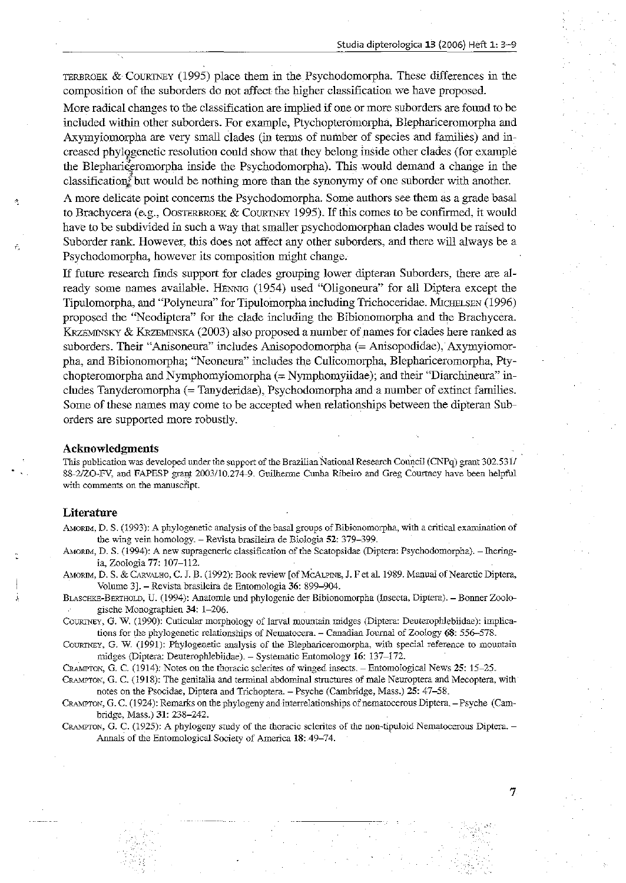TERBROEK  $&$  COURTNEY (1995) place them in the Psychodomorpha. These differences in the composition of the snborders do not affect the higher classification we have proposed.

More radical changes to the classification are implied if one or more suborders are found to be included within other suborders. For example, Ptychopteromorpha, Blephariceromorpha and Axymyiomorpha are very small clades (in terms of number of species and families) and in~ creased phylogenetic resolution could show that they belong inside other clades (for example the Blephariceromorpha inside the Psychodomorpha). This would demand a change in the classification but would be nothing more than the synonymy of one suborder with another.

A more delicate point concerns the Psychodomorpha. Some authors see them as a grade basal to Brachycera (e.g., OOSTERBROEK & COURTNEY 1995). If this comes to be confirmed, it would have to be subdivided in such a way that smaller psychodomorphan clades would be raised to Suborder rank. However, this does not affect any other suborders, and there will always be a Psychodomorpha, however its compositiou might change.

If future research finds support for clades grouping lower dipteran Suborders, there are already some names available. HENNIG (1954) used "Oligoneura" for all Diptera except the Tipulomorpha, and "Polyneura" for Tipulomorpha including Trichoceridae. MICHELSEN (1996) proposed the "Neodiptera" for the clade including the Bibionomorpha and the Brachycera. KRZEMINSKY & KRZEMINSKA (2003) also proposed a number of names for clades here ranked as suborders. Their "Anisoneura" includes Anisopodomorpha (= Anisopodidae), Axymyiomorpha, and Bibionomorpha; "Neoneura" includes the Culicomorpha, Blephariceromorpha, Plychopteromorpha and Nymphomyiomorpha (= Nymphomyiidae); and their "Diarchineura" includes Tanyderomorpha (= Tanyderidae), Psychodomorpha and a number of extinct families. Some of these names may come to be accepted when relationships between the dipteran Suborders are supported more robustly.

#### Acknowledgments .

This publication was developed under the support of the Brazilian National Research Council (CNPq) grant 302.531/ 88-2/ZO-FV, and FAPESP graps 2003/10.274-9. Guilherme Cunha Ribeiro and Greg Courtney have been helpful with comments on the manuscript.

## Literature

AMORIM, D. S. (1993): A phylogenetic analysis of the basal groups of Bibionomorpha, with a critical examination of the wing vein homology. - Revista brasileira de Biologia 52: 379-399.

- AMORIM, D. S. (1994): A new suprageneric classification of the Scatopsidae (Diptera: Psychodomorpha). Theringia, Zoologia 77: 107-112.
- AMORIM, D. S. & CARVALHO, C. J. B. (1992): Book review [of MCALPINE, J. F et al. 1989. Manual of Nearctic Diptera, Volume 3}. - Revista brasileira de Entomologia 36: 899-904.
- BLASCHKE-BERTHOLD, U. (1994): Anatomie und phylogenie der Bibionomorpha (Insecta, Dipiera). Bonner Zoologische Monographien 34: 1-206.

COURTNEY, G. W. (1990): Cuticular morphology of larval mountain midges (Diptera: Deuterophlebiidae): implications for the phylogenetic relationships of Nematocera. - Canadian Journal of Zoology 68: 556-578.

COURTNEY, G. W. (1991): Phylogenetic analysis of the Blephariceromorpha, with special reference to mountain midges (Diptera: Deuterophlebiidae). - Systematic Entomology 16: 137-172.

CRAMPiDN:, G. C. (1914): Notes on the thoracic sclerites of winged insects. - Entomological News 25: 15-25.

CRAMPTON, G. C. (1918): The genitalia and terminal abdominal structures of male Neuroptera and Mecoptera, with notes on the Psocidae, Diptera and Trichoptera. - Psyche (Cambridge, Mass.) 25: 47-58.

CRAMPTON, G. C. (1924): Remarks on the phylogeny and interrelationships of nematocerous Diptera. - Psyche (Cambridge, Mass.) 31: 238-242.

CRAMPTON, G. C. (1925): A phylogeny study of the thoracic sclerites of the non-tipuloid Nematocerous Diptera. -Annals of the Entomological Society of America 18:49-74.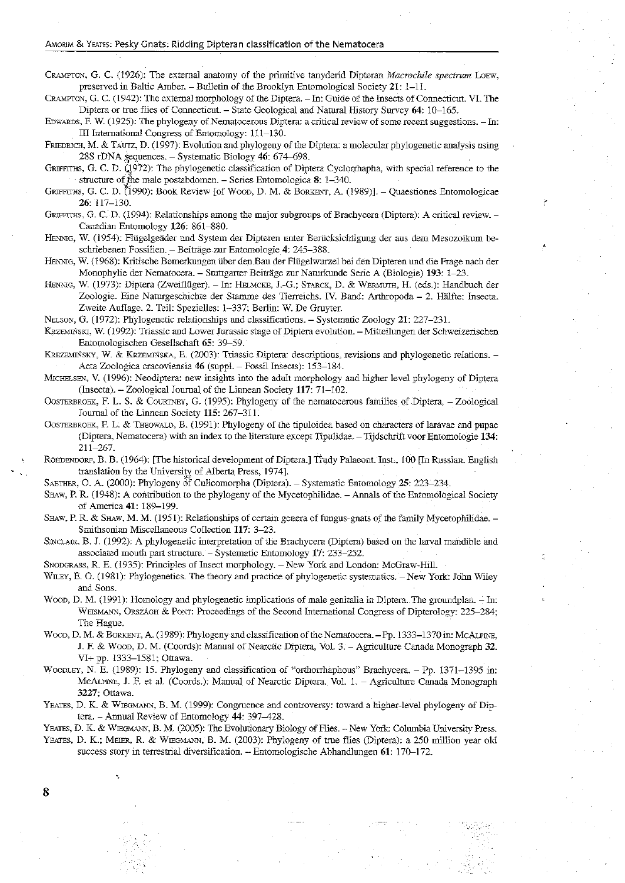#### AMORIM & YEATES: Pesky Gnats: Ridding Dipteran classification of the Nematocera

CRAMPTON, G. C. (1926): The external anatomy of the primitive tanyderid Dipteran *Macrochile spectrum* LOEW, preserved in Baltic Amber. - Bulletin of the Brooklyn Entomological Society 21: 1-11.

CRAMPTON, G. C. (1942): The external morphology of the Diptera. - In: Guide of the Insects of Connecticut. VI. The Diptera or true flies of Connecticut. - State Geological and Natural History Survey 64: 10-165.

EDWARDS, F. W. (1925): The phylogeny of Nematocerous Diptera: a critical review of some recent suggestions. - In: III International Congress of Entomology: 111-130.

FRIEDRICH, M. & TAUTZ, D. (1997): Evolution and phylogeny of the Diptera: a molecular phylogenetic analysis using  $28S$  rDNA sequences. - Systematic Biology 46: 674-698.

GRIFFITHS, G. C. D. (1972): The phylogenetic classification of Diptera Cyclorrhapha, with special reference to the structure of the male postabdomen. - Series Entomologica  $8: 1-340$ .

GRIFFITHS, G. C. D. (1990): Book Review [of WOOD, D. M. & BORKENT, A. (1989)]. - Quaestiones Entomologicae 26,117-130. C

GRIFFITHS, G. C. D. (1994): Relationships among the major subgroups of Brachycera (Diptera): A critical review. -Canadian Entomology 126: 861-880.

HENNIG, W. (1954): Flügelgeäder und System der Dipteren unter Berücksichtigung der aus dem Mesozoikum beschriebenen Fossilien. - Beiträge zur Entomologie 4: 245-388.

HENNIG, W. (1968): Kritische Bemerkungen über den Bau der Flügelwurzel bei den Dipteren und die Frage nach der Monophylie der Nematocera. - Stuttgarter Beitrage zur Naturkunde Serie A (Biologie) 193: 1-23.

HENNIG, W. (1973): Diptera (Zweiflüger). - In: HELMCKE, J.-G.; STARCK, D. & WERMUTH, H. (eds.): Handbuch der Zoologie. Eine Naturgeschichte der Stamme des Tierreichs. IV. Band: Arthropoda - 2. Halfte: Insecta. Zweite Auflage. 2. Teil: Spezielles: 1-337; Berlin: W. De Gruyter.

NELSON, G. (1972): Phylogenetic relationships and classifications. - Systematic Zoology 21: 227-231.

KRZEMINSKJ, W. (1992): Triassic and Lower Jurassic stage of Diptera evolution. - Mitteilungen der Schweizerischen Entomo1ogischen Gesellschaft 65: 39-59.

KREZEMIŃSKY, W. & KRZEMIŃSKA, E. (2003): Triassic Diptera: descriptions, revisions and phylogenetic relations. -Acta Zoologica cracoviensia 46 (suppl. - Fossil Insects): 153~184.

MICHELSEN, V. (1996): Neodiptera: new insights into the adult morphology and higher level phylogeny of Diptera (Insecta). - Zoological Journal of the Linnean Society 117: 71-102.

OOSTERBROEK, F. L. S. & COURTNEY, G. (1995): Phy10geny of the nematocerous families of Diptera. - Zoological Journal of the Linnean Society 115: 267-311.

OoSTERBROEK, E L. & THEOWALD, B. (1991): Phylogeny of the tipuloidea based on characters of laravae and pupae (Diptera, Nematocera) with an index to the literature except Tipulidae. - Tijdschrift voor Entomologie 134: 211-267.

ROEDENDORF, B. B. (1964): [The historical development of Diptera.] Trudy Palaeont. Inst., 100 [In Russian. English translation by the University of Alberta Press, 1974].

SAETHER, O. A. (2000): Phylogeny of Culicomorpha (Diptera). - Systematic Entomology 25: 223-234.

SHAW, P. R. (1948): A contribution to the phylogeny of the Mycetophilidae. - Annals of the Entomological Society of America 41: 189-199.

SHAW, P. R. & SHAW, M. M. (1951): Relationships of certain genera of fungus-gnats of the family Mycetophilidae. -Smithsonian Miscellaneous Collection 117: 3-23.

SINCLAIR, B. J. (1992): A phylogenetic interpretation of the Brachycera (Diptera) based on the larval mandible and associated mouth part structure. - Systematic Entomology 17: 233-252.

SNODGRASS, R. E. (1935): Principles of Insect morphology. - New York and London: McGraw-Hill.

WILEY, E. O. (1981): Phylogenetics. The theory and practice of phylogenetic systematics. - New York: John Wiley and Sons.

Woop, D. M. (1991): Homology and phylogenetic implications of male genitalia in Diptera. The groundplan. - In: WEISMANN, ORSZÁGH & PONT: Proceedings of the Second International Congress of Dipterology: 225-284; The Hague.

WOOD, D. M. & BORKENT, A. (1989): Phylogeny and classification of the Nematocera. - Pp. 1333-1370 in: McALPINE, J. F. & WOOD, D. M. (Coords): Manual of Nearctic Diptera, Vol. 3. - Agriculture Canada Monograph 32. V1+ pp. 1333-1581; Ottawa.

WOODLEY, N. E. (1989): 15. Phylogeny and classification of "'orthorihaphous" Brachycera. - Pp. 1371-1395 in: McALPINE, J. F. et al. (Coords.): Manual of Nearctic Diptera. Vol. 1. - Agriculture Canada Monograph 3227; Ottawa.

YEATES, D. K. & WIEGMANN, B. M. (1999): Congruence and controversy: toward a higher-level phylogeny of Diptera. - Annual Review of Entomology 44: 397-428.

YEATES, D. K. & WIEGMANN, B. M. (2005): The Evolutionary Biology of Flies. -- New York: Columbia University Press. YEATES, D. K.; MEIER, R. & WIEGMANN, B. M. (2003): Phylogeny of true flies (Diptera): a 250 million year old success story in terrestrial diversification. - Entomologische Abhandlungen 61: 170-172.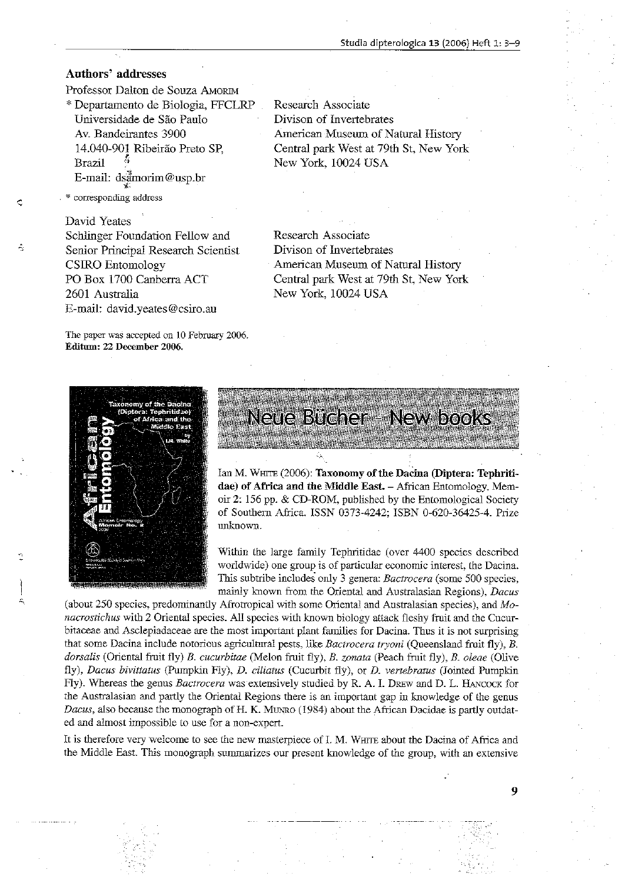## Authors' addresses

Professor Dalton de Souza AMoRIM \* Departamento de Biologia, FFCLRP Universidade de Sao Paulo Av. Bandeirantes 3900 14.040-901 Ribeirao Preto SP, Brazil E-mail: dsamorim@usp.br '1"

corresponding address

A

David Yeates Schlinger Foundation Fellow and Senior Principal Research Scientist CSIRO Entomology PO Box 1700 Canberra ACT 2601 Australia E-mail: david.yeates@csiro.au

The paper was accepted on 10 February 2006. Editum: 22 December 2006.



Research Associate Divison of Invertebrates American Museum of Natural History Central park West at 79th St, New York New York, 10024 USA

Research Associate Divison of Invertebrates American Museum of Natural History Central park West at 79th St, New York New York, 10024 USA



Neue Bucher - New books

Ian M. WHITE (2006): Taxonomy of the Dacina (Diptera: Tephritidae) of Africa and the Middle East. - African Entomology, Memoir 2: 156 pp. & CD-ROM, published by the Entomological Society of Southern Africa. ISSN 0373-4242; ISBN 0-620-36425-4. Prize unknown.

Within the large family Tephritidae (over 4400 species described worldwide) one group is of particular economic interest, the Dacina. This subtribe includes only 3 genera: *Bactrocera* (some 500 species, mainly known from the Oriental and Australasian Regions), *Dacus* 

(about 250 species, predominantly Afrotropical with some Oriental and Australasian species), and Monacrostichus with 2 Oriental species. All species with known biology attack fleshy fruit and the Cucurbitaceae and Asclepiadaceae are the most important plant families for Dacina. Thus it is not surprising that some Dacina include notorious agricultural pests, like *Bactrocera tryoni* (Queensland fruit fly), B. *dorsalis* (Oriental fruit fly) B. *cucurhitae* (Melon fruit fly), *B. zonata* (Peach fruit fly), *B. oleae* (Olive fly), *Dacus bivittatus* (Pumpkin Ay), D. *ciliatus* (Cucurbit fly), or *D. vertehratus* (Jointed Pumpkin Fly). Whereas the genus *Bactrocera* was extensively studied by R. A. L DREW and D. L. HANCOCK for the Australasian and partly the Oriental Regions there is an important gap in knowledge of the genus *Dacus*, also because the monograph of H. K. MUNRO (1984) about the African Dacidae is partly outdated and almost impossible to use for a non-expert.

It is therefore very welcome to see the new masterpiece of L M. WHITE about the Dacina of Africa and the Middle East. This monograph summarizes our present knowledge of the group, with an extensive